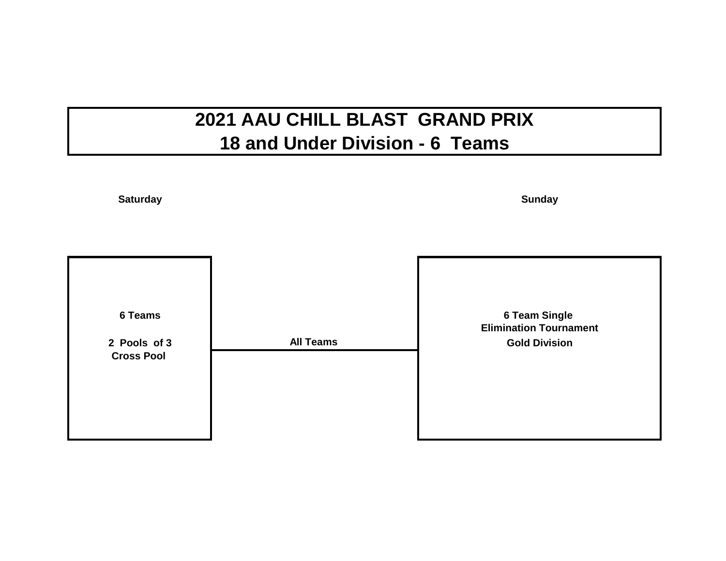# **2021 AAU CHILL BLAST GRAND PRIX 18 and Under Division - 6 Teams**

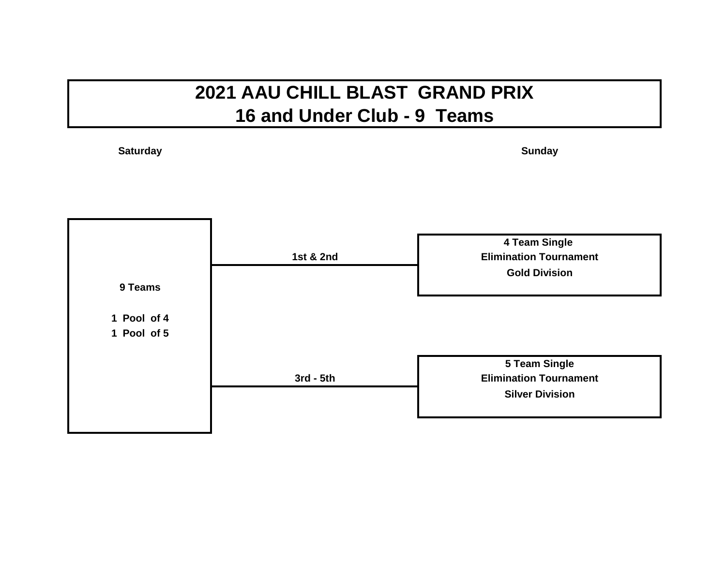#### **2021 AAU CHILL BLAST GRAND PRIX 16 and Under Club - 9 Teams**

**Saturday**

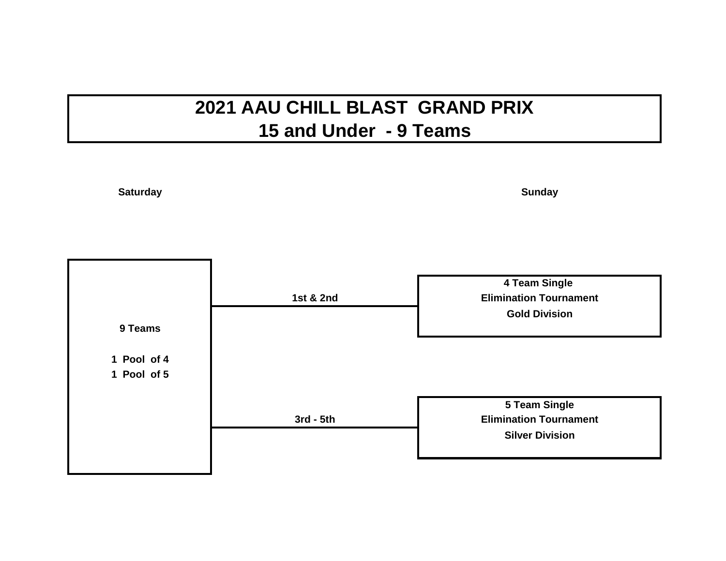## **2021 AAU CHILL BLAST GRAND PRIX 15 and Under - 9 Teams**

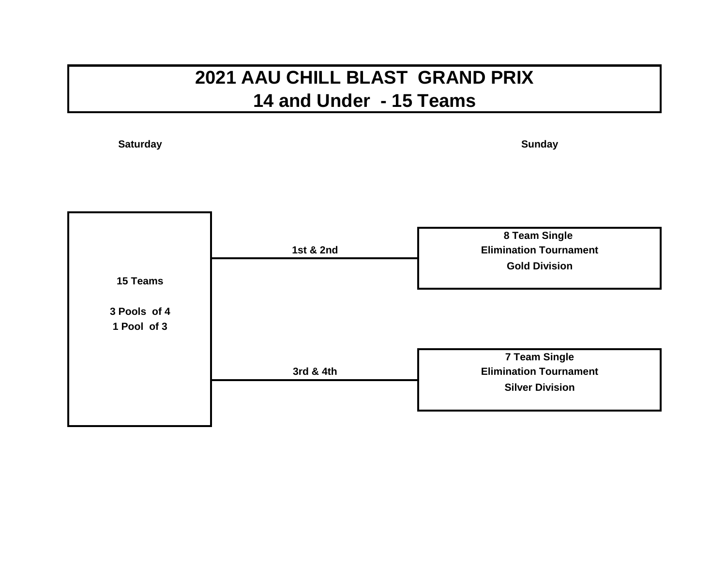#### **2021 AAU CHILL BLAST GRAND PRIX 14 and Under - 15 Teams**

**Saturday**

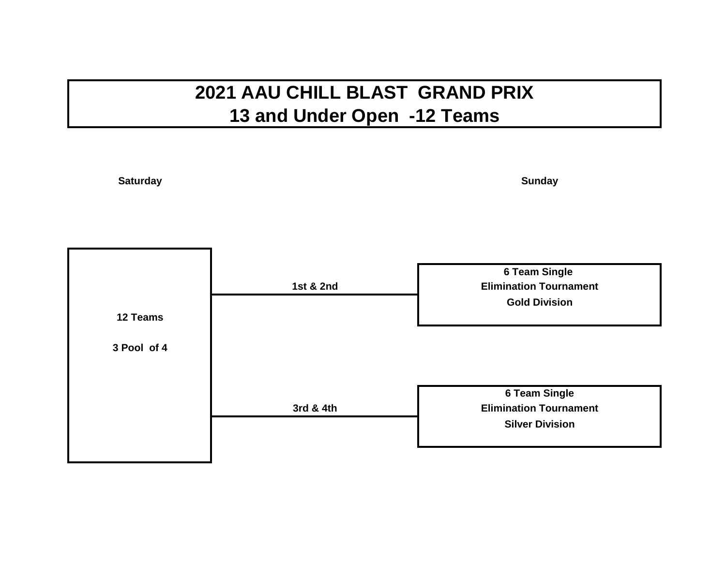## **2021 AAU CHILL BLAST GRAND PRIX 13 and Under Open -12 Teams**

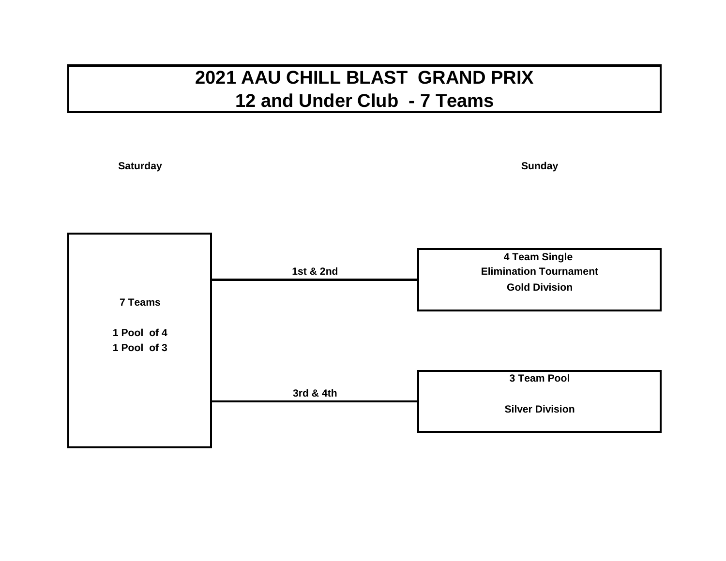### **2021 AAU CHILL BLAST GRAND PRIX 12 and Under Club - 7 Teams**

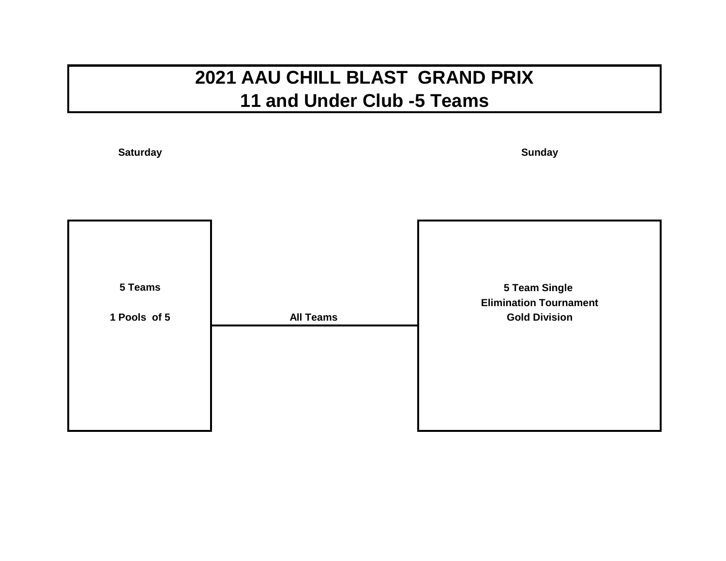## **2021 AAU CHILL BLAST GRAND PRIX 11 and Under Club -5 Teams**

**Saturday**